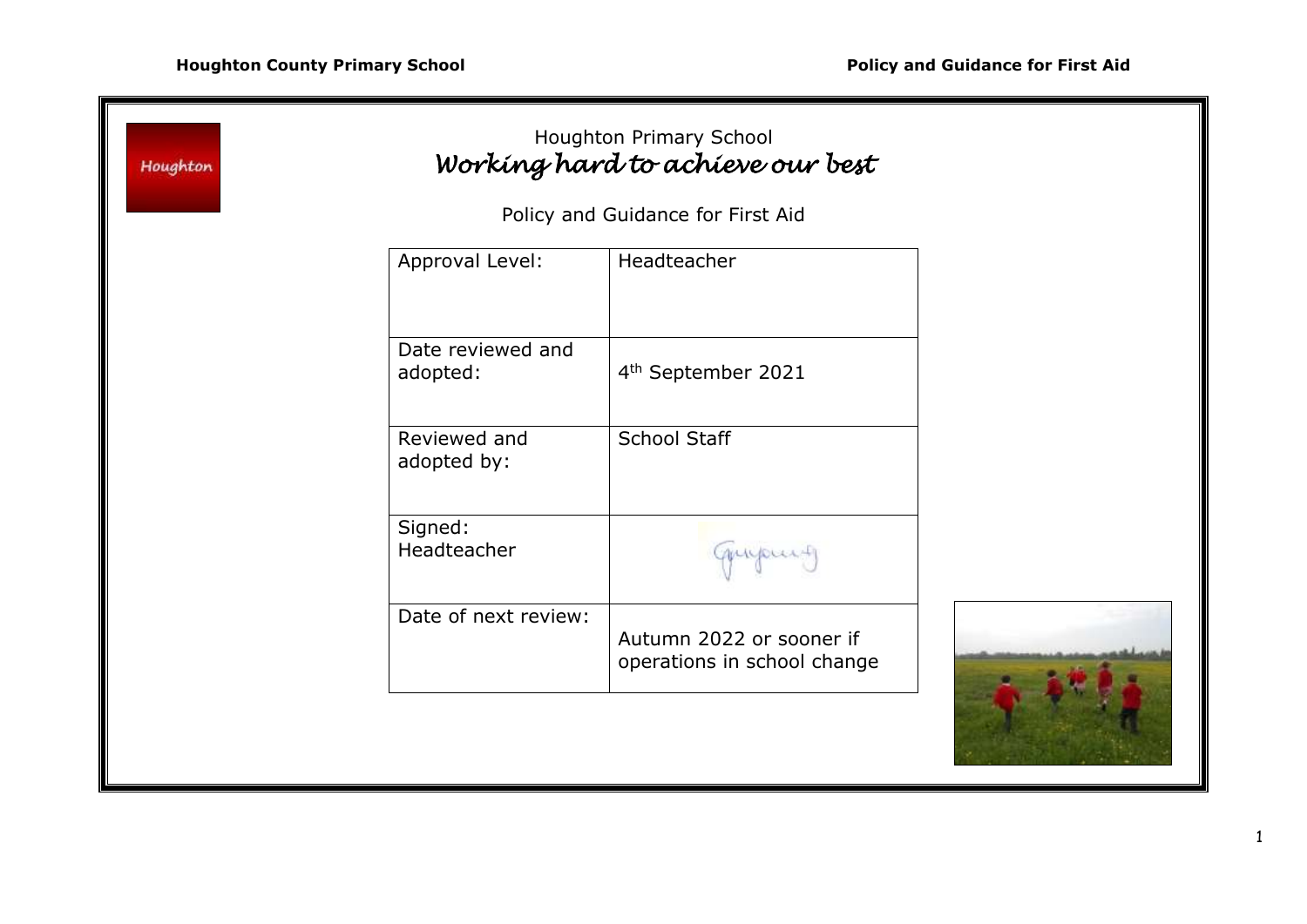|                               | Policy and Guidance for First Aid                       |  |
|-------------------------------|---------------------------------------------------------|--|
| Approval Level:               | Headteacher                                             |  |
| Date reviewed and<br>adopted: | 4 <sup>th</sup> September 2021                          |  |
| Reviewed and<br>adopted by:   | School Staff                                            |  |
| Signed:<br>Headteacher        | migourt                                                 |  |
| Date of next review:          | Autumn 2022 or sooner if<br>operations in school change |  |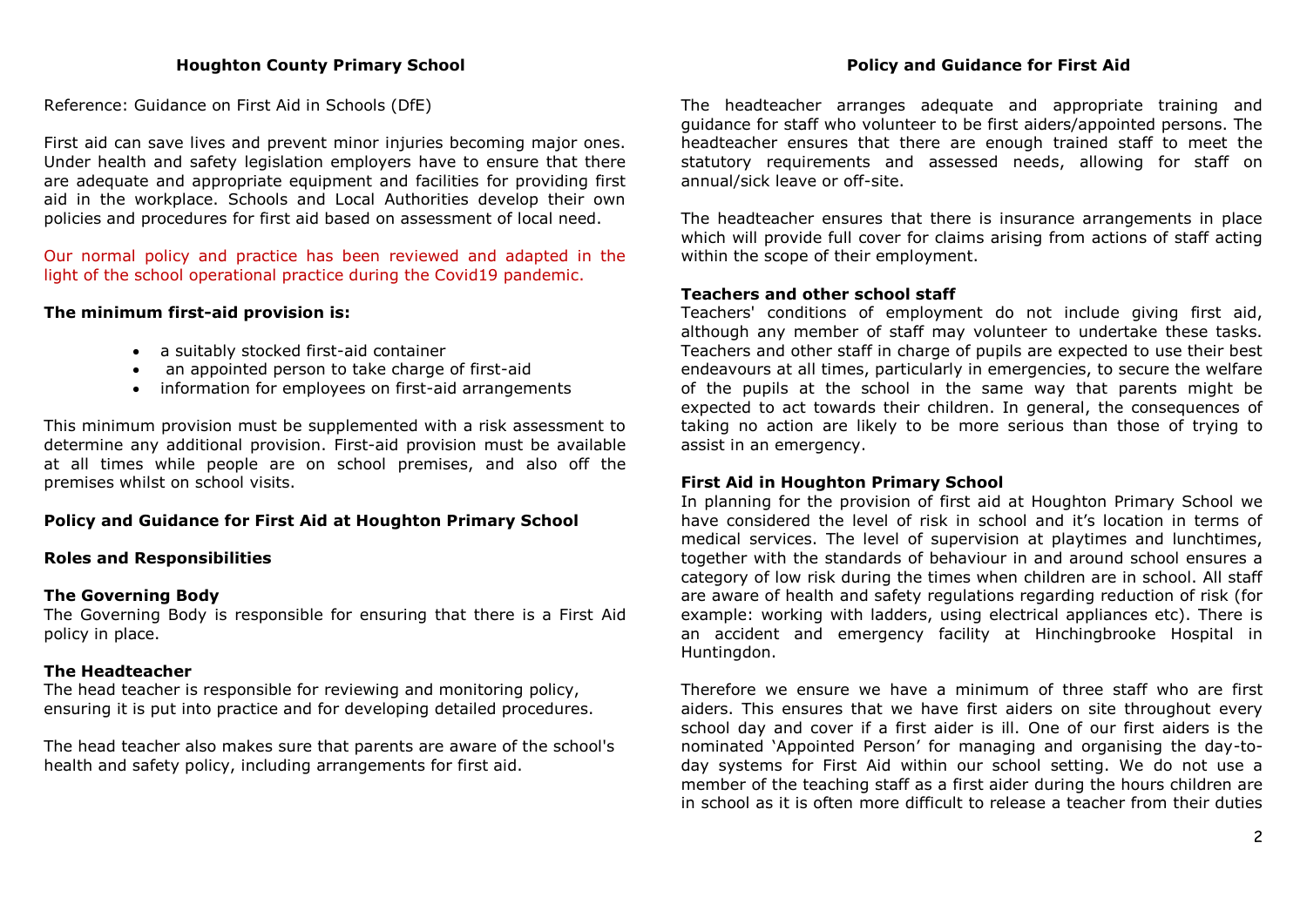Reference: Guidance on First Aid in Schools (DfE)

First aid can save lives and prevent minor injuries becoming major ones. Under health and safety legislation employers have to ensure that there are adequate and appropriate equipment and facilities for providing first aid in the workplace. Schools and Local Authorities develop their own policies and procedures for first aid based on assessment of local need.

Our normal policy and practice has been reviewed and adapted in the light of the school operational practice during the Covid19 pandemic.

### **The minimum first-aid provision is:**

- a suitably stocked first-aid container
- an appointed person to take charge of first-aid
- information for employees on first-aid arrangements

This minimum provision must be supplemented with a risk assessment to determine any additional provision. First-aid provision must be available at all times while people are on school premises, and also off the premises whilst on school visits.

# **Policy and Guidance for First Aid at Houghton Primary School**

## **Roles and Responsibilities**

### **The Governing Body**

The Governing Body is responsible for ensuring that there is a First Aid policy in place.

## **The Headteacher**

The head teacher is responsible for reviewing and monitoring policy, ensuring it is put into practice and for developing detailed procedures.

The head teacher also makes sure that parents are aware of the school's health and safety policy, including arrangements for first aid.

The headteacher arranges adequate and appropriate training and guidance for staff who volunteer to be first aiders/appointed persons. The headteacher ensures that there are enough trained staff to meet the statutory requirements and assessed needs, allowing for staff on annual/sick leave or off-site.

The headteacher ensures that there is insurance arrangements in place which will provide full cover for claims arising from actions of staff acting within the scope of their employment.

### **Teachers and other school staff**

Teachers' conditions of employment do not include giving first aid, although any member of staff may volunteer to undertake these tasks. Teachers and other staff in charge of pupils are expected to use their best endeavours at all times, particularly in emergencies, to secure the welfare of the pupils at the school in the same way that parents might be expected to act towards their children. In general, the consequences of taking no action are likely to be more serious than those of trying to assist in an emergency.

## **First Aid in Houghton Primary School**

In planning for the provision of first aid at Houghton Primary School we have considered the level of risk in school and it's location in terms of medical services. The level of supervision at playtimes and lunchtimes, together with the standards of behaviour in and around school ensures a category of low risk during the times when children are in school. All staff are aware of health and safety regulations regarding reduction of risk (for example: working with ladders, using electrical appliances etc). There is an accident and emergency facility at Hinchingbrooke Hospital in Huntingdon.

Therefore we ensure we have a minimum of three staff who are first aiders. This ensures that we have first aiders on site throughout every school day and cover if a first aider is ill. One of our first aiders is the nominated 'Appointed Person' for managing and organising the day-today systems for First Aid within our school setting. We do not use a member of the teaching staff as a first aider during the hours children are in school as it is often more difficult to release a teacher from their duties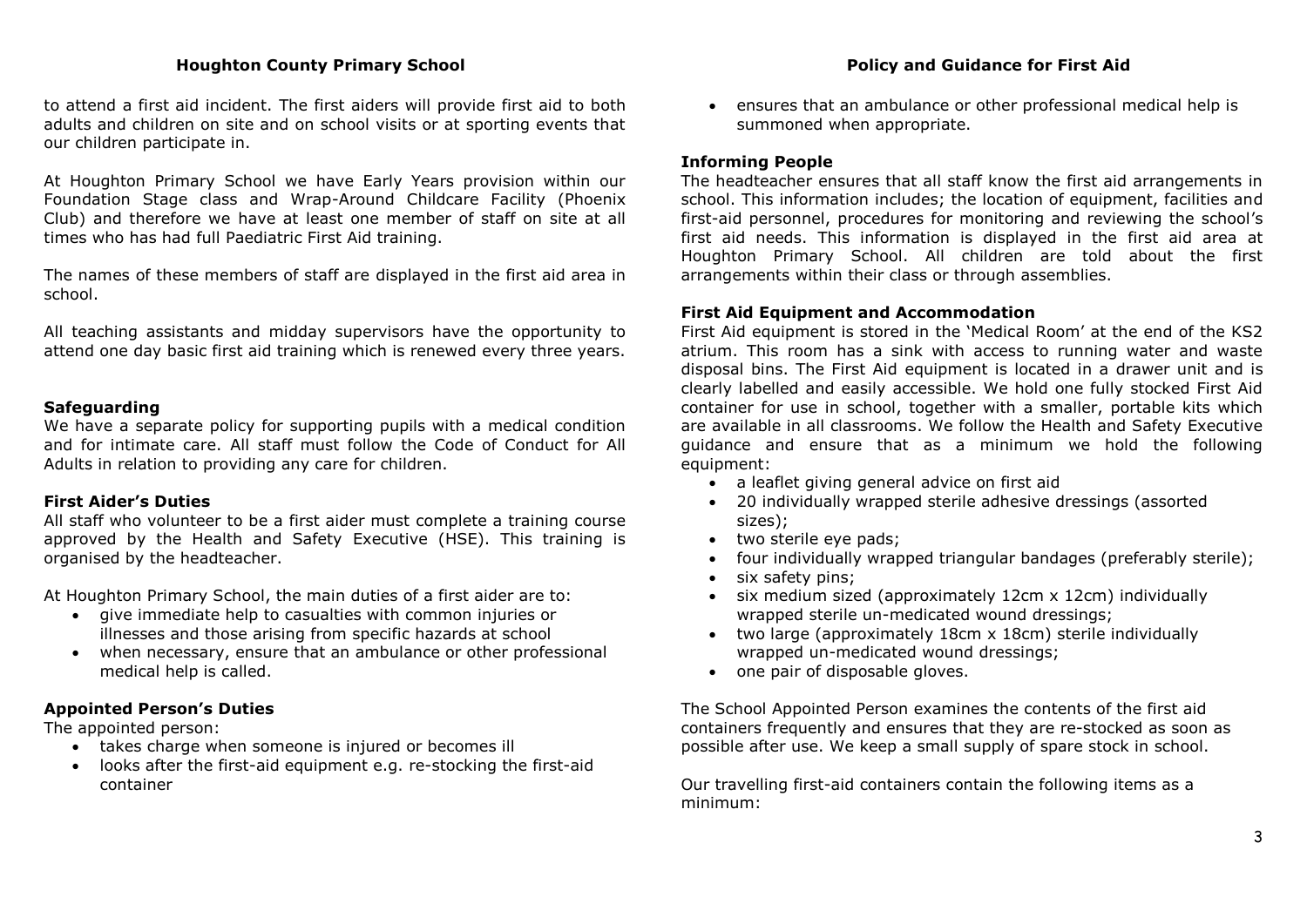### **Houghton County Primary School Policy and Guidance for First Aid**

to attend a first aid incident. The first aiders will provide first aid to both adults and children on site and on school visits or at sporting events that our children participate in.

At Houghton Primary School we have Early Years provision within our Foundation Stage class and Wrap-Around Childcare Facility (Phoenix Club) and therefore we have at least one member of staff on site at all times who has had full Paediatric First Aid training.

The names of these members of staff are displayed in the first aid area in school.

All teaching assistants and midday supervisors have the opportunity to attend one day basic first aid training which is renewed every three years.

### **Safeguarding**

We have a separate policy for supporting pupils with a medical condition and for intimate care. All staff must follow the Code of Conduct for All Adults in relation to providing any care for children.

#### **First Aider's Duties**

All staff who volunteer to be a first aider must complete a training course approved by the Health and Safety Executive (HSE). This training is organised by the headteacher.

At Houghton Primary School, the main duties of a first aider are to:

- give immediate help to casualties with common injuries or illnesses and those arising from specific hazards at school
- when necessary, ensure that an ambulance or other professional medical help is called.

## **Appointed Person's Duties**

The appointed person:

- takes charge when someone is injured or becomes ill
- looks after the first-aid equipment e.g. re-stocking the first-aid container

 ensures that an ambulance or other professional medical help is summoned when appropriate.

### **Informing People**

The headteacher ensures that all staff know the first aid arrangements in school. This information includes; the location of equipment, facilities and first-aid personnel, procedures for monitoring and reviewing the school's first aid needs. This information is displayed in the first aid area at Houghton Primary School. All children are told about the first arrangements within their class or through assemblies.

#### **First Aid Equipment and Accommodation**

First Aid equipment is stored in the 'Medical Room' at the end of the KS2 atrium. This room has a sink with access to running water and waste disposal bins. The First Aid equipment is located in a drawer unit and is clearly labelled and easily accessible. We hold one fully stocked First Aid container for use in school, together with a smaller, portable kits which are available in all classrooms. We follow the Health and Safety Executive guidance and ensure that as a minimum we hold the following equipment:

- a leaflet giving general advice on first aid
- 20 individually wrapped sterile adhesive dressings (assorted sizes);
- two sterile eye pads;
- four individually wrapped triangular bandages (preferably sterile);
- six safety pins:
- six medium sized (approximately 12cm x 12cm) individually wrapped sterile un-medicated wound dressings;
- two large (approximately 18cm x 18cm) sterile individually wrapped un-medicated wound dressings;
- one pair of disposable gloves.

The School Appointed Person examines the contents of the first aid containers frequently and ensures that they are re-stocked as soon as possible after use. We keep a small supply of spare stock in school.

Our travelling first-aid containers contain the following items as a minimum: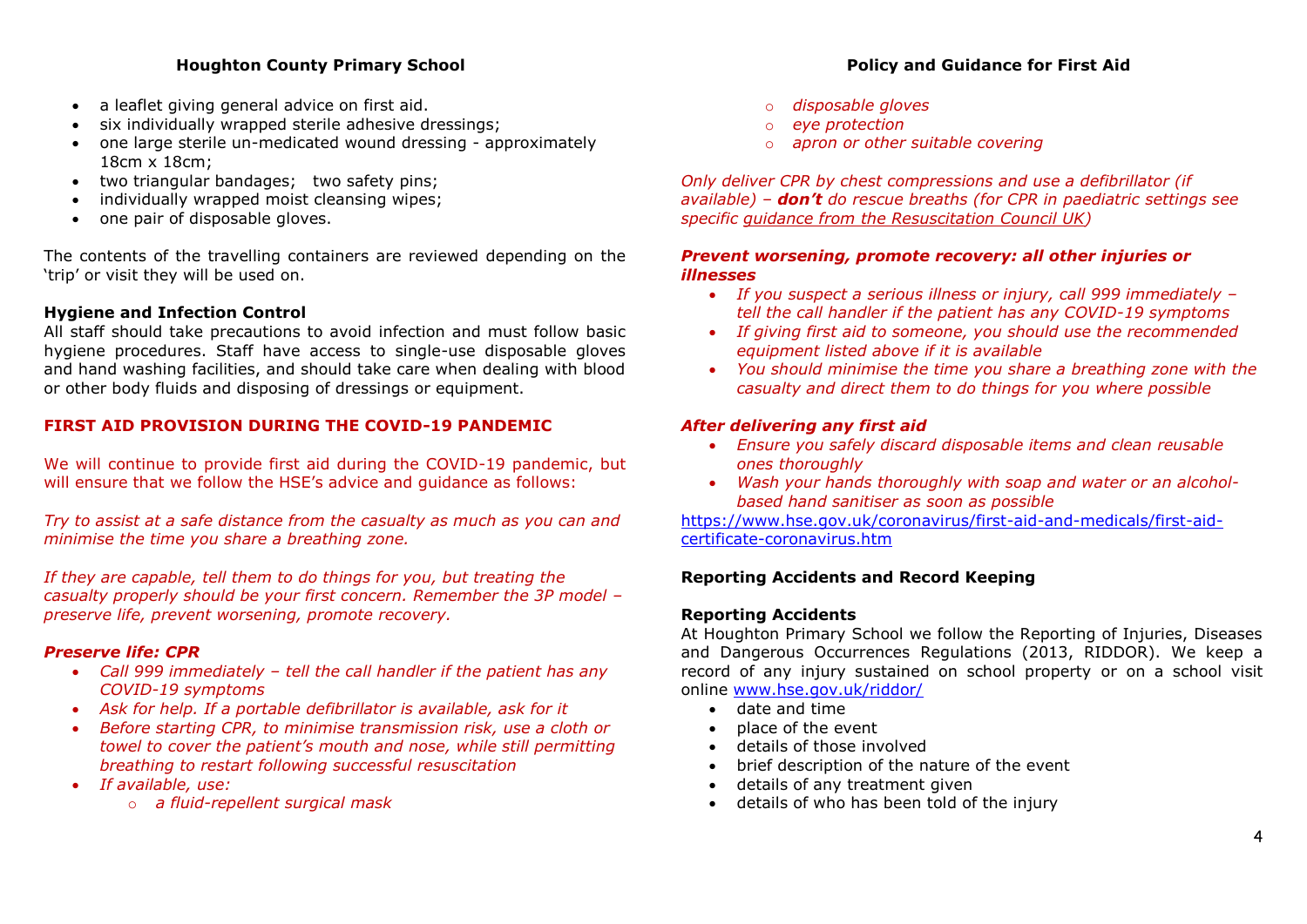## **Houghton County Primary School Policy and Guidance for First Aid**

- a leaflet giving general advice on first aid.
- six individually wrapped sterile adhesive dressings;
- one large sterile un-medicated wound dressing approximately 18cm x 18cm;
- two triangular bandages; two safety pins;
- individually wrapped moist cleansing wipes;
- one pair of disposable gloves.

The contents of the travelling containers are reviewed depending on the 'trip' or visit they will be used on.

## **Hygiene and Infection Control**

All staff should take precautions to avoid infection and must follow basic hygiene procedures. Staff have access to single-use disposable gloves and hand washing facilities, and should take care when dealing with blood or other body fluids and disposing of dressings or equipment.

## **FIRST AID PROVISION DURING THE COVID-19 PANDEMIC**

We will continue to provide first aid during the COVID-19 pandemic, but will ensure that we follow the HSE's advice and guidance as follows:

*Try to assist at a safe distance from the casualty as much as you can and minimise the time you share a breathing zone.* 

*If they are capable, tell them to do things for you, but treating the casualty properly should be your first concern. Remember the 3P model – preserve life, prevent worsening, promote recovery.*

## *Preserve life: CPR*

- *Call 999 immediately – tell the call handler if the patient has any COVID-19 symptoms*
- *Ask for help. If a portable defibrillator is available, ask for it*
- *Before starting CPR, to minimise transmission risk, use a cloth or towel to cover the patient's mouth and nose, while still permitting breathing to restart following successful resuscitation*
- *If available, use:* 
	- o *a fluid-repellent surgical mask*
- 
- o *disposable gloves*
- o *eye protection*
- o *apron or other suitable covering*

*Only deliver CPR by chest compressions and use a defibrillator (if available) – don't do rescue breaths (for CPR in paediatric settings see specific [guidance from the Resuscitation Council UK\)](https://www.resus.org.uk/covid-19-resources/covid-19-resources-general-public/resuscitation-council-uk-statement-covid-19)* 

## *Prevent worsening, promote recovery: all other injuries or illnesses*

- *If you suspect a serious illness or injury, call 999 immediately – tell the call handler if the patient has any COVID-19 symptoms*
- *If giving first aid to someone, you should use the recommended equipment listed above if it is available*
- *You should minimise the time you share a breathing zone with the casualty and direct them to do things for you where possible*

## *After delivering any first aid*

- *Ensure you safely discard disposable items and clean reusable ones thoroughly*
- *Wash your hands thoroughly with soap and water or an alcoholbased hand sanitiser as soon as possible*

[https://www.hse.gov.uk/coronavirus/first-aid-and-medicals/first-aid](https://www.hse.gov.uk/coronavirus/first-aid-and-medicals/first-aid-certificate-coronavirus.htm)[certificate-coronavirus.htm](https://www.hse.gov.uk/coronavirus/first-aid-and-medicals/first-aid-certificate-coronavirus.htm)

## **Reporting Accidents and Record Keeping**

### **Reporting Accidents**

At Houghton Primary School we follow the Reporting of Injuries, Diseases and Dangerous Occurrences Regulations (2013, RIDDOR). We keep a record of any injury sustained on school property or on a school visit online [www.hse.gov.uk/riddor/](http://www.hse.gov.uk/riddor/)

- date and time
- place of the event
- details of those involved
- brief description of the nature of the event
- details of any treatment given
- details of who has been told of the injury